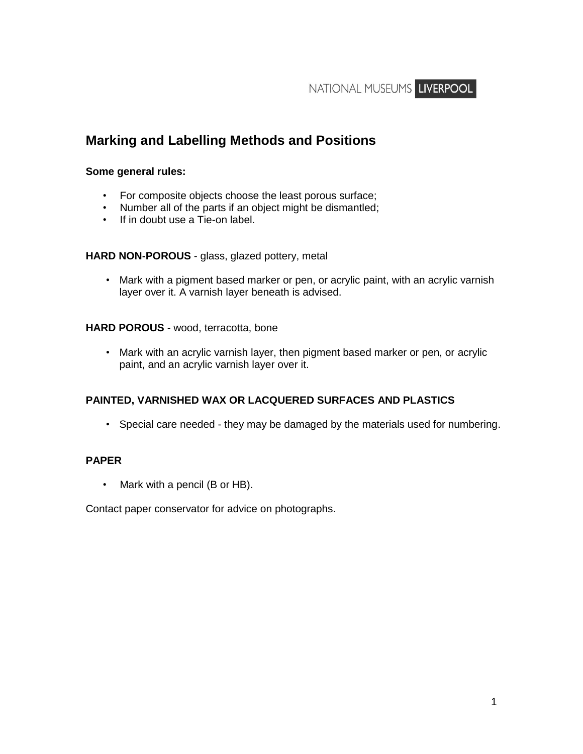NATIONAL MUSEUMS LIVERPOOL

## **Marking and Labelling Methods and Positions**

#### **Some general rules:**

- For composite objects choose the least porous surface;
- Number all of the parts if an object might be dismantled;
- If in doubt use a Tie-on label.

#### **HARD NON-POROUS** - glass, glazed pottery, metal

• Mark with a pigment based marker or pen, or acrylic paint, with an acrylic varnish layer over it. A varnish layer beneath is advised.

#### **HARD POROUS** - wood, terracotta, bone

• Mark with an acrylic varnish layer, then pigment based marker or pen, or acrylic paint, and an acrylic varnish layer over it.

#### **PAINTED, VARNISHED WAX OR LACQUERED SURFACES AND PLASTICS**

• Special care needed - they may be damaged by the materials used for numbering.

#### **PAPER**

• Mark with a pencil (B or HB).

Contact paper conservator for advice on photographs.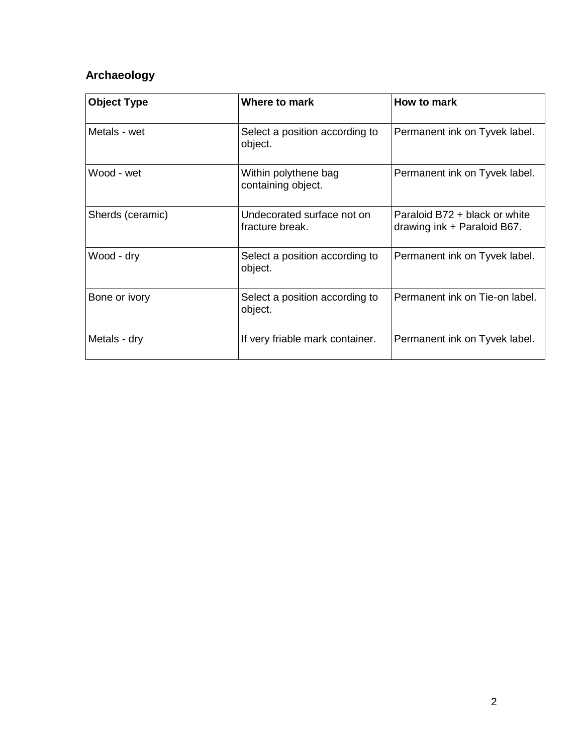# **Archaeology**

| <b>Object Type</b> | Where to mark                                 | How to mark                                                  |
|--------------------|-----------------------------------------------|--------------------------------------------------------------|
| Metals - wet       | Select a position according to<br>object.     | Permanent ink on Tyvek label.                                |
| Wood - wet         | Within polythene bag<br>containing object.    | Permanent ink on Tyvek label.                                |
| Sherds (ceramic)   | Undecorated surface not on<br>fracture break. | Paraloid B72 + black or white<br>drawing ink + Paraloid B67. |
| Wood - dry         | Select a position according to<br>object.     | Permanent ink on Tyvek label.                                |
| Bone or ivory      | Select a position according to<br>object.     | Permanent ink on Tie-on label.                               |
| Metals - dry       | If very friable mark container.               | Permanent ink on Tyvek label.                                |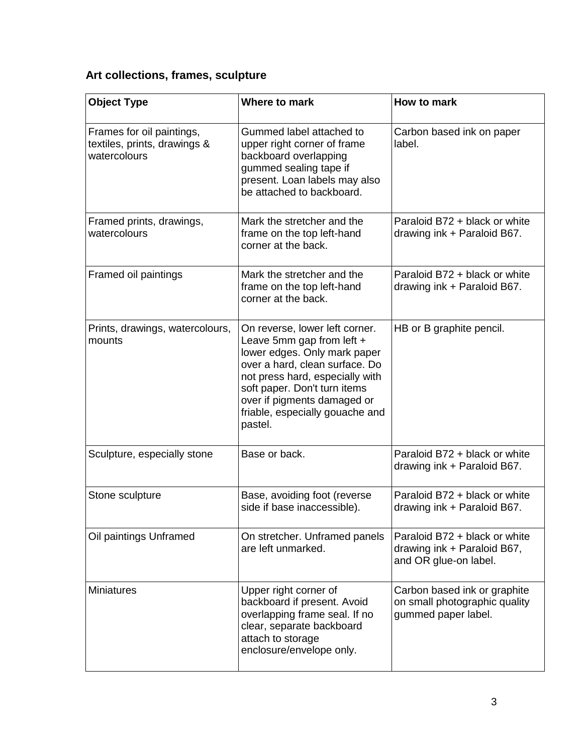# **Art collections, frames, sculpture**

| <b>Object Type</b>                                                        | Where to mark                                                                                                                                                                                                                                                                 | How to mark                                                                           |
|---------------------------------------------------------------------------|-------------------------------------------------------------------------------------------------------------------------------------------------------------------------------------------------------------------------------------------------------------------------------|---------------------------------------------------------------------------------------|
| Frames for oil paintings,<br>textiles, prints, drawings &<br>watercolours | Gummed label attached to<br>upper right corner of frame<br>backboard overlapping<br>gummed sealing tape if<br>present. Loan labels may also<br>be attached to backboard.                                                                                                      | Carbon based ink on paper<br>label.                                                   |
| Framed prints, drawings,<br>watercolours                                  | Mark the stretcher and the<br>frame on the top left-hand<br>corner at the back.                                                                                                                                                                                               | Paraloid B72 + black or white<br>drawing ink + Paraloid B67.                          |
| Framed oil paintings                                                      | Mark the stretcher and the<br>frame on the top left-hand<br>corner at the back.                                                                                                                                                                                               | Paraloid B72 + black or white<br>drawing ink + Paraloid B67.                          |
| Prints, drawings, watercolours,<br>mounts                                 | On reverse, lower left corner.<br>Leave 5mm gap from left +<br>lower edges. Only mark paper<br>over a hard, clean surface. Do<br>not press hard, especially with<br>soft paper. Don't turn items<br>over if pigments damaged or<br>friable, especially gouache and<br>pastel. | HB or B graphite pencil.                                                              |
| Sculpture, especially stone                                               | Base or back.                                                                                                                                                                                                                                                                 | Paraloid B72 + black or white<br>drawing ink + Paraloid B67.                          |
| Stone sculpture                                                           | Base, avoiding foot (reverse<br>side if base inaccessible).                                                                                                                                                                                                                   | Paraloid B72 + black or white<br>drawing ink + Paraloid B67.                          |
| Oil paintings Unframed                                                    | On stretcher. Unframed panels<br>are left unmarked.                                                                                                                                                                                                                           | Paraloid B72 + black or white<br>drawing ink + Paraloid B67,<br>and OR glue-on label. |
| <b>Miniatures</b>                                                         | Upper right corner of<br>backboard if present. Avoid<br>overlapping frame seal. If no<br>clear, separate backboard<br>attach to storage<br>enclosure/envelope only.                                                                                                           | Carbon based ink or graphite<br>on small photographic quality<br>gummed paper label.  |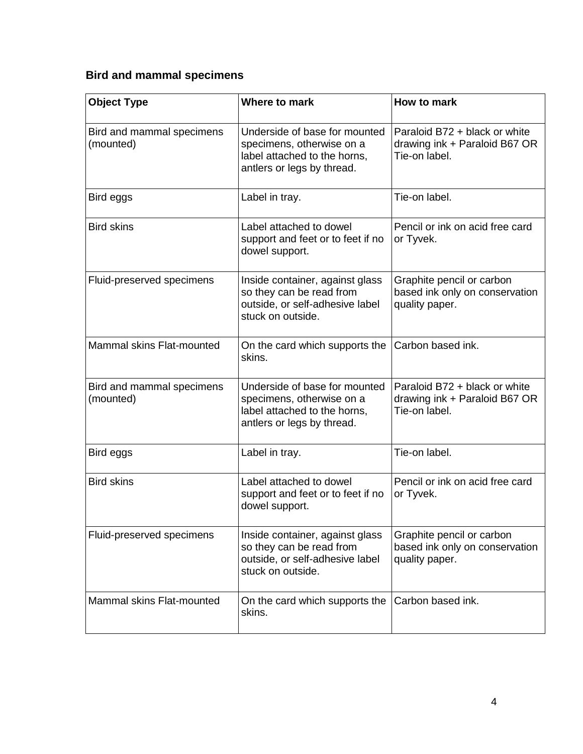# **Bird and mammal specimens**

| <b>Object Type</b>                     | Where to mark                                                                                                            | How to mark                                                                     |
|----------------------------------------|--------------------------------------------------------------------------------------------------------------------------|---------------------------------------------------------------------------------|
| Bird and mammal specimens<br>(mounted) | Underside of base for mounted<br>specimens, otherwise on a<br>label attached to the horns,<br>antlers or legs by thread. | Paraloid B72 + black or white<br>drawing ink + Paraloid B67 OR<br>Tie-on label. |
| Bird eggs                              | Label in tray.                                                                                                           | Tie-on label.                                                                   |
| <b>Bird skins</b>                      | Label attached to dowel<br>support and feet or to feet if no<br>dowel support.                                           | Pencil or ink on acid free card<br>or Tyvek.                                    |
| Fluid-preserved specimens              | Inside container, against glass<br>so they can be read from<br>outside, or self-adhesive label<br>stuck on outside.      | Graphite pencil or carbon<br>based ink only on conservation<br>quality paper.   |
| Mammal skins Flat-mounted              | On the card which supports the<br>skins.                                                                                 | Carbon based ink.                                                               |
| Bird and mammal specimens<br>(mounted) | Underside of base for mounted<br>specimens, otherwise on a<br>label attached to the horns,<br>antlers or legs by thread. | Paraloid B72 + black or white<br>drawing ink + Paraloid B67 OR<br>Tie-on label. |
| Bird eggs                              | Label in tray.                                                                                                           | Tie-on label.                                                                   |
| <b>Bird skins</b>                      | Label attached to dowel<br>support and feet or to feet if no<br>dowel support.                                           | Pencil or ink on acid free card<br>or Tyvek.                                    |
| Fluid-preserved specimens              | Inside container, against glass<br>so they can be read from<br>outside, or self-adhesive label<br>stuck on outside.      | Graphite pencil or carbon<br>based ink only on conservation<br>quality paper.   |
| Mammal skins Flat-mounted              | On the card which supports the<br>skins.                                                                                 | Carbon based ink.                                                               |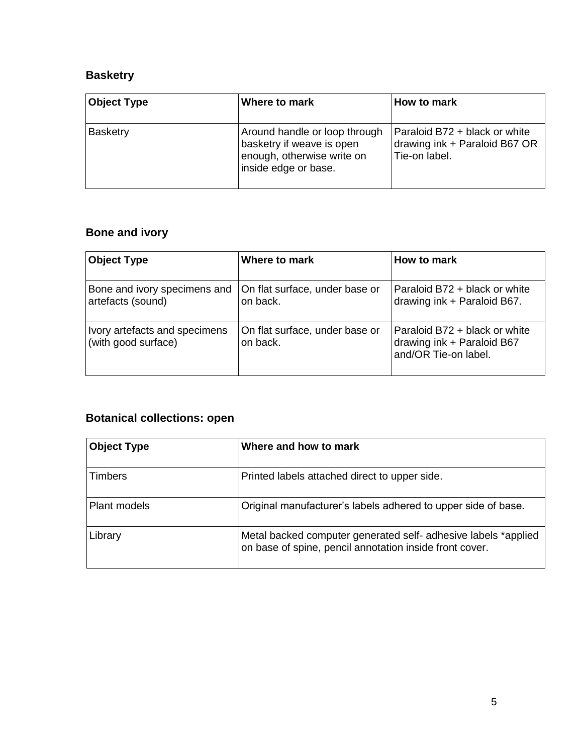### **Basketry**

| <b>Object Type</b> | Where to mark                                                                                                    | How to mark                                                                     |
|--------------------|------------------------------------------------------------------------------------------------------------------|---------------------------------------------------------------------------------|
| <b>Basketry</b>    | Around handle or loop through<br>basketry if weave is open<br>enough, otherwise write on<br>inside edge or base. | Paraloid B72 + black or white<br>drawing ink + Paraloid B67 OR<br>Tie-on label. |

# **Bone and ivory**

| <b>Object Type</b>                                   | Where to mark                              | How to mark                                                                         |
|------------------------------------------------------|--------------------------------------------|-------------------------------------------------------------------------------------|
| Bone and ivory specimens and<br>artefacts (sound)    | On flat surface, under base or<br>on back. | Paraloid B72 + black or white<br>drawing ink + Paraloid B67.                        |
| Ivory artefacts and specimens<br>(with good surface) | On flat surface, under base or<br>on back. | Paraloid B72 + black or white<br>drawing ink + Paraloid B67<br>and/OR Tie-on label. |

# **Botanical collections: open**

| <b>Object Type</b> | Where and how to mark                                                                                                     |
|--------------------|---------------------------------------------------------------------------------------------------------------------------|
| Timbers            | Printed labels attached direct to upper side.                                                                             |
| Plant models       | Original manufacturer's labels adhered to upper side of base.                                                             |
| Library            | Metal backed computer generated self- adhesive labels *applied<br>on base of spine, pencil annotation inside front cover. |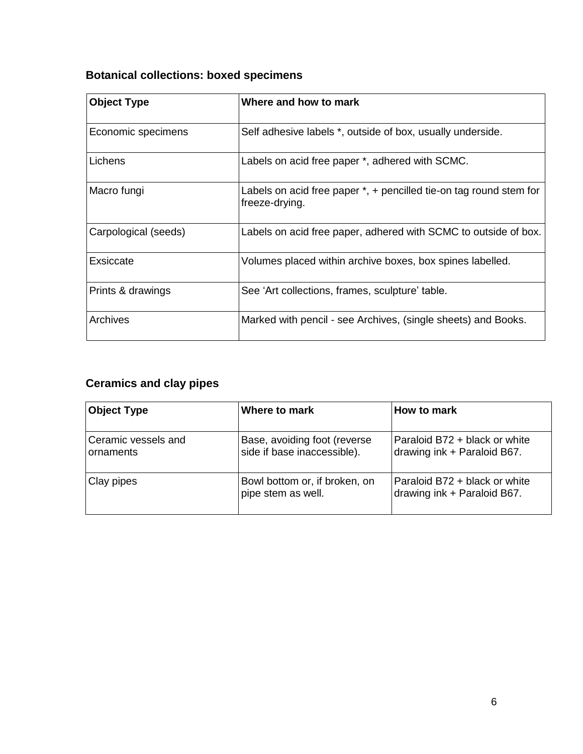# **Botanical collections: boxed specimens**

| <b>Object Type</b>   | Where and how to mark                                                                     |
|----------------------|-------------------------------------------------------------------------------------------|
| Economic specimens   | Self adhesive labels *, outside of box, usually underside.                                |
| Lichens              | Labels on acid free paper *, adhered with SCMC.                                           |
| Macro fungi          | Labels on acid free paper $*$ , $+$ pencilled tie-on tag round stem for<br>freeze-drying. |
| Carpological (seeds) | Labels on acid free paper, adhered with SCMC to outside of box.                           |
| Exsiccate            | Volumes placed within archive boxes, box spines labelled.                                 |
| Prints & drawings    | See 'Art collections, frames, sculpture' table.                                           |
| Archives             | Marked with pencil - see Archives, (single sheets) and Books.                             |

# **Ceramics and clay pipes**

| <b>Object Type</b>               | Where to mark                                                | How to mark                                                  |
|----------------------------------|--------------------------------------------------------------|--------------------------------------------------------------|
| Ceramic vessels and<br>ornaments | Base, avoiding foot (reverse)<br>side if base inaccessible). | Paraloid B72 + black or white<br>drawing ink + Paraloid B67. |
| Clay pipes                       | Bowl bottom or, if broken, on<br>pipe stem as well.          | Paraloid B72 + black or white<br>drawing ink + Paraloid B67. |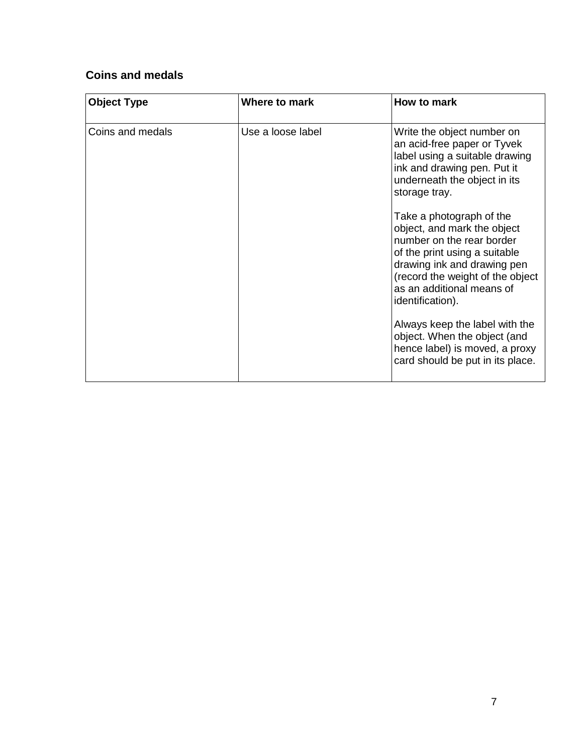### **Coins and medals**

| <b>Object Type</b> | Where to mark     | How to mark                                                                                                                                                                                                                                      |
|--------------------|-------------------|--------------------------------------------------------------------------------------------------------------------------------------------------------------------------------------------------------------------------------------------------|
| Coins and medals   | Use a loose label | Write the object number on<br>an acid-free paper or Tyvek<br>label using a suitable drawing<br>ink and drawing pen. Put it<br>underneath the object in its<br>storage tray.                                                                      |
|                    |                   | Take a photograph of the<br>object, and mark the object<br>number on the rear border<br>of the print using a suitable<br>drawing ink and drawing pen<br>(record the weight of the object<br>as an additional means of<br><i>identification).</i> |
|                    |                   | Always keep the label with the<br>object. When the object (and<br>hence label) is moved, a proxy<br>card should be put in its place.                                                                                                             |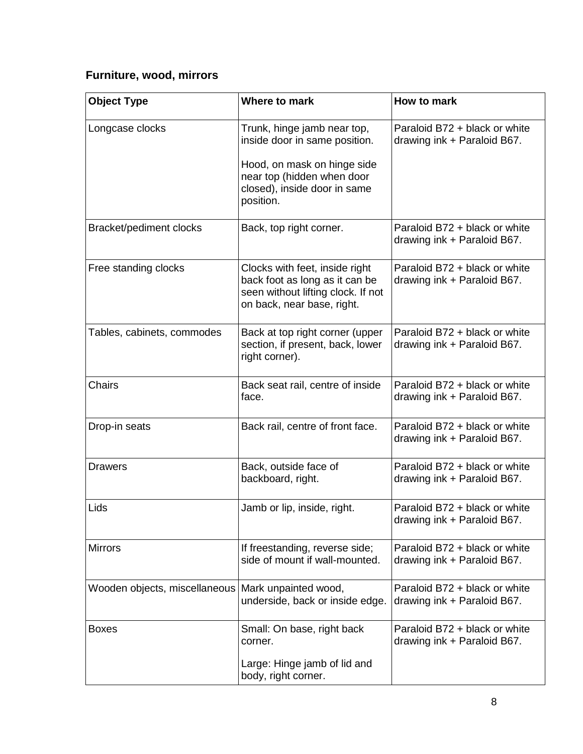# **Furniture, wood, mirrors**

| <b>Object Type</b>            | Where to mark                                                                                                                                                          | How to mark                                                  |
|-------------------------------|------------------------------------------------------------------------------------------------------------------------------------------------------------------------|--------------------------------------------------------------|
| Longcase clocks               | Trunk, hinge jamb near top,<br>inside door in same position.<br>Hood, on mask on hinge side<br>near top (hidden when door<br>closed), inside door in same<br>position. | Paraloid B72 + black or white<br>drawing ink + Paraloid B67. |
| Bracket/pediment clocks       | Back, top right corner.                                                                                                                                                | Paraloid B72 + black or white<br>drawing ink + Paraloid B67. |
| Free standing clocks          | Clocks with feet, inside right<br>back foot as long as it can be<br>seen without lifting clock. If not<br>on back, near base, right.                                   | Paraloid B72 + black or white<br>drawing ink + Paraloid B67. |
| Tables, cabinets, commodes    | Back at top right corner (upper<br>section, if present, back, lower<br>right corner).                                                                                  | Paraloid B72 + black or white<br>drawing ink + Paraloid B67. |
| Chairs                        | Back seat rail, centre of inside<br>face.                                                                                                                              | Paraloid B72 + black or white<br>drawing ink + Paraloid B67. |
| Drop-in seats                 | Back rail, centre of front face.                                                                                                                                       | Paraloid B72 + black or white<br>drawing ink + Paraloid B67. |
| <b>Drawers</b>                | Back, outside face of<br>backboard, right.                                                                                                                             | Paraloid B72 + black or white<br>drawing ink + Paraloid B67. |
| Lids                          | Jamb or lip, inside, right.                                                                                                                                            | Paraloid B72 + black or white<br>drawing ink + Paraloid B67. |
| <b>Mirrors</b>                | If freestanding, reverse side;<br>side of mount if wall-mounted.                                                                                                       | Paraloid B72 + black or white<br>drawing ink + Paraloid B67. |
| Wooden objects, miscellaneous | Mark unpainted wood,<br>underside, back or inside edge.                                                                                                                | Paraloid B72 + black or white<br>drawing ink + Paraloid B67. |
| <b>Boxes</b>                  | Small: On base, right back<br>corner.<br>Large: Hinge jamb of lid and<br>body, right corner.                                                                           | Paraloid B72 + black or white<br>drawing ink + Paraloid B67. |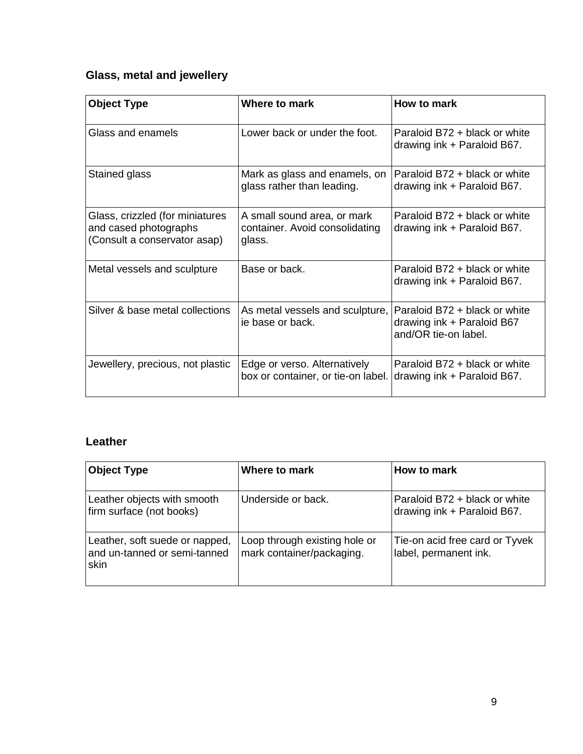# **Glass, metal and jewellery**

| <b>Object Type</b>                                                                       | Where to mark                                                           | How to mark                                                                         |
|------------------------------------------------------------------------------------------|-------------------------------------------------------------------------|-------------------------------------------------------------------------------------|
| Glass and enamels                                                                        | Lower back or under the foot.                                           | Paraloid B72 + black or white<br>drawing ink + Paraloid B67.                        |
| Stained glass                                                                            | Mark as glass and enamels, on<br>glass rather than leading.             | Paraloid B72 + black or white<br>drawing ink + Paraloid B67.                        |
| Glass, crizzled (for miniatures<br>and cased photographs<br>(Consult a conservator asap) | A small sound area, or mark<br>container. Avoid consolidating<br>glass. | Paraloid B72 + black or white<br>drawing ink + Paraloid B67.                        |
| Metal vessels and sculpture                                                              | Base or back.                                                           | Paraloid B72 + black or white<br>drawing ink + Paraloid B67.                        |
| Silver & base metal collections                                                          | As metal vessels and sculpture,<br>ie base or back.                     | Paraloid B72 + black or white<br>drawing ink + Paraloid B67<br>and/OR tie-on label. |
| Jewellery, precious, not plastic                                                         | Edge or verso. Alternatively<br>box or container, or tie-on label.      | Paraloid B72 + black or white<br>drawing ink + Paraloid B67.                        |

### **Leather**

| <b>Object Type</b>                                                     | Where to mark                                              | How to mark                                                  |
|------------------------------------------------------------------------|------------------------------------------------------------|--------------------------------------------------------------|
| Leather objects with smooth<br>firm surface (not books)                | Underside or back.                                         | Paraloid B72 + black or white<br>drawing ink + Paraloid B67. |
| Leather, soft suede or napped,<br>and un-tanned or semi-tanned<br>skin | Loop through existing hole or<br>mark container/packaging. | Tie-on acid free card or Tyvek<br>label, permanent ink.      |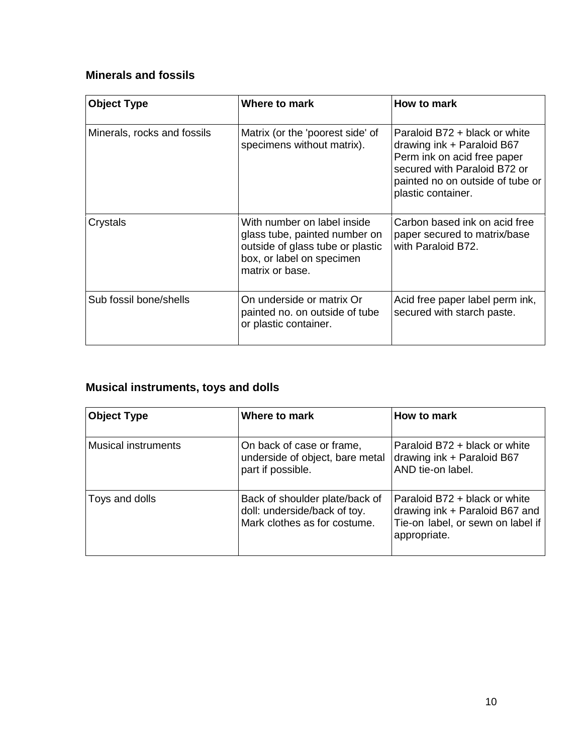## **Minerals and fossils**

| <b>Object Type</b>          | Where to mark                                                                                                                                    | How to mark                                                                                                                                                                            |
|-----------------------------|--------------------------------------------------------------------------------------------------------------------------------------------------|----------------------------------------------------------------------------------------------------------------------------------------------------------------------------------------|
| Minerals, rocks and fossils | Matrix (or the 'poorest side' of<br>specimens without matrix).                                                                                   | Paraloid B72 + black or white<br>drawing ink $+$ Paraloid B67<br>Perm ink on acid free paper<br>secured with Paraloid B72 or<br>painted no on outside of tube or<br>plastic container. |
| Crystals                    | With number on label inside<br>glass tube, painted number on<br>outside of glass tube or plastic<br>box, or label on specimen<br>matrix or base. | Carbon based ink on acid free<br>paper secured to matrix/base<br>with Paraloid B72.                                                                                                    |
| Sub fossil bone/shells      | On underside or matrix Or<br>painted no. on outside of tube<br>or plastic container.                                                             | Acid free paper label perm ink,<br>secured with starch paste.                                                                                                                          |

# **Musical instruments, toys and dolls**

| <b>Object Type</b>         | Where to mark                                                                                  | How to mark                                                                                                          |
|----------------------------|------------------------------------------------------------------------------------------------|----------------------------------------------------------------------------------------------------------------------|
| <b>Musical instruments</b> | On back of case or frame,<br>underside of object, bare metal<br>part if possible.              | Paraloid B72 + black or white<br>drawing ink + Paraloid B67<br>AND tie-on label.                                     |
| Toys and dolls             | Back of shoulder plate/back of<br>doll: underside/back of toy.<br>Mark clothes as for costume. | Paraloid B72 + black or white<br>drawing ink + Paraloid B67 and<br>Tie-on label, or sewn on label if<br>appropriate. |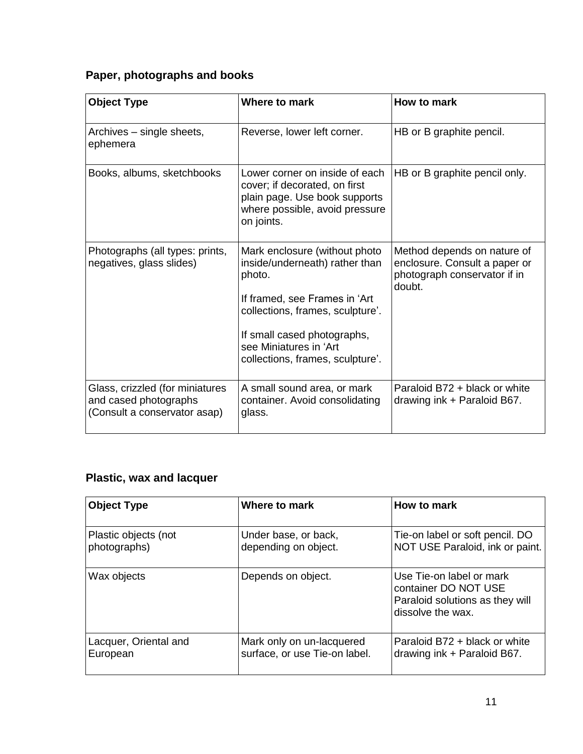# **Paper, photographs and books**

| <b>Object Type</b>                                                                       | Where to mark                                                                                                                                                                                                                               | How to mark                                                                                            |
|------------------------------------------------------------------------------------------|---------------------------------------------------------------------------------------------------------------------------------------------------------------------------------------------------------------------------------------------|--------------------------------------------------------------------------------------------------------|
| Archives – single sheets,<br>ephemera                                                    | Reverse, lower left corner.                                                                                                                                                                                                                 | HB or B graphite pencil.                                                                               |
| Books, albums, sketchbooks                                                               | Lower corner on inside of each<br>cover; if decorated, on first<br>plain page. Use book supports<br>where possible, avoid pressure<br>on joints.                                                                                            | HB or B graphite pencil only.                                                                          |
| Photographs (all types: prints,<br>negatives, glass slides)                              | Mark enclosure (without photo<br>inside/underneath) rather than<br>photo.<br>If framed, see Frames in 'Art<br>collections, frames, sculpture'.<br>If small cased photographs,<br>see Miniatures in 'Art<br>collections, frames, sculpture'. | Method depends on nature of<br>enclosure. Consult a paper or<br>photograph conservator if in<br>doubt. |
| Glass, crizzled (for miniatures<br>and cased photographs<br>(Consult a conservator asap) | A small sound area, or mark<br>container. Avoid consolidating<br>glass.                                                                                                                                                                     | Paraloid B72 + black or white<br>drawing ink + Paraloid B67.                                           |

# **Plastic, wax and lacquer**

| <b>Object Type</b>    | Where to mark                 | How to mark                                                                                              |
|-----------------------|-------------------------------|----------------------------------------------------------------------------------------------------------|
| Plastic objects (not  | Under base, or back,          | Tie-on label or soft pencil. DO                                                                          |
| photographs)          | depending on object.          | NOT USE Paraloid, ink or paint.                                                                          |
| Wax objects           | Depends on object.            | Use Tie-on label or mark<br>container DO NOT USE<br>Paraloid solutions as they will<br>dissolve the wax. |
| Lacquer, Oriental and | Mark only on un-lacquered     | Paraloid B72 + black or white                                                                            |
| European              | surface, or use Tie-on label. | drawing ink + Paraloid B67.                                                                              |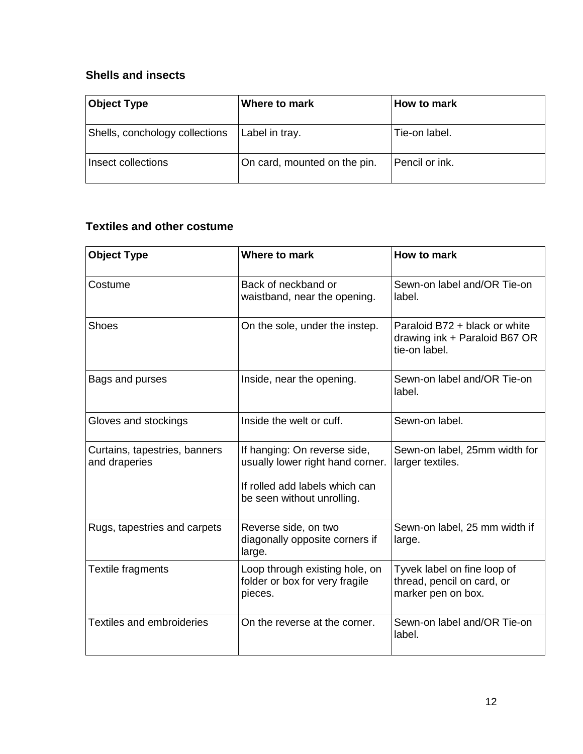### **Shells and insects**

| <b>Object Type</b>             | Where to mark                | How to mark    |
|--------------------------------|------------------------------|----------------|
| Shells, conchology collections | Label in tray.               | Tie-on label.  |
| Insect collections             | On card, mounted on the pin. | Pencil or ink. |

### **Textiles and other costume**

| <b>Object Type</b>                             | Where to mark                                                                                                                    | How to mark                                                                     |
|------------------------------------------------|----------------------------------------------------------------------------------------------------------------------------------|---------------------------------------------------------------------------------|
| Costume                                        | Back of neckband or<br>waistband, near the opening.                                                                              | Sewn-on label and/OR Tie-on<br>label.                                           |
| <b>Shoes</b>                                   | On the sole, under the instep.                                                                                                   | Paraloid B72 + black or white<br>drawing ink + Paraloid B67 OR<br>tie-on label. |
| Bags and purses                                | Inside, near the opening.                                                                                                        | Sewn-on label and/OR Tie-on<br>label.                                           |
| Gloves and stockings                           | Inside the welt or cuff.                                                                                                         | Sewn-on label.                                                                  |
| Curtains, tapestries, banners<br>and draperies | If hanging: On reverse side,<br>usually lower right hand corner.<br>If rolled add labels which can<br>be seen without unrolling. | Sewn-on label, 25mm width for<br>larger textiles.                               |
| Rugs, tapestries and carpets                   | Reverse side, on two<br>diagonally opposite corners if<br>large.                                                                 | Sewn-on label, 25 mm width if<br>large.                                         |
| Textile fragments                              | Loop through existing hole, on<br>folder or box for very fragile<br>pieces.                                                      | Tyvek label on fine loop of<br>thread, pencil on card, or<br>marker pen on box. |
| <b>Textiles and embroideries</b>               | On the reverse at the corner.                                                                                                    | Sewn-on label and/OR Tie-on<br>label.                                           |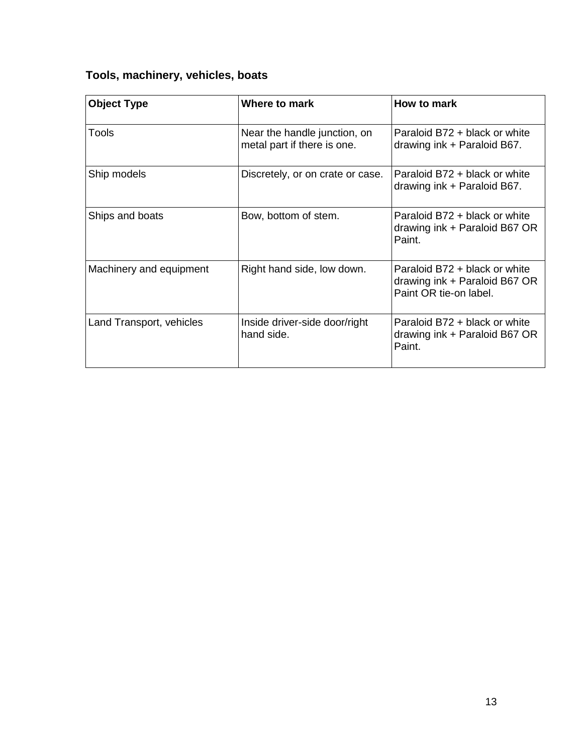# **Tools, machinery, vehicles, boats**

| <b>Object Type</b>       | Where to mark                                               | How to mark                                                                              |
|--------------------------|-------------------------------------------------------------|------------------------------------------------------------------------------------------|
| Tools                    | Near the handle junction, on<br>metal part if there is one. | Paraloid B72 + black or white<br>drawing ink + Paraloid B67.                             |
| Ship models              | Discretely, or on crate or case.                            | Paraloid B72 + black or white<br>drawing ink + Paraloid B67.                             |
| Ships and boats          | Bow, bottom of stem.                                        | Paraloid B72 + black or white<br>drawing ink + Paraloid B67 OR<br>Paint.                 |
| Machinery and equipment  | Right hand side, low down.                                  | Paraloid B72 + black or white<br>drawing ink + Paraloid B67 OR<br>Paint OR tie-on label. |
| Land Transport, vehicles | Inside driver-side door/right<br>hand side.                 | Paraloid B72 + black or white<br>drawing ink + Paraloid B67 OR<br>Paint.                 |